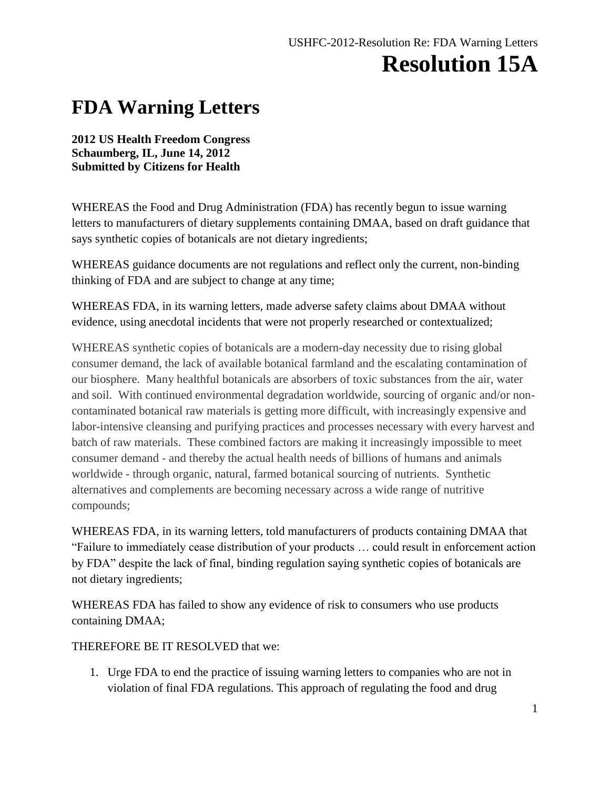## **FDA Warning Letters**

## **2012 US Health Freedom Congress Schaumberg, IL, June 14, 2012 Submitted by Citizens for Health**

WHEREAS the Food and Drug Administration (FDA) has recently begun to issue warning letters to manufacturers of dietary supplements containing DMAA, based on draft guidance that says synthetic copies of botanicals are not dietary ingredients;

WHEREAS guidance documents are not regulations and reflect only the current, non-binding thinking of FDA and are subject to change at any time;

WHEREAS FDA, in its warning letters, made adverse safety claims about DMAA without evidence, using anecdotal incidents that were not properly researched or contextualized;

WHEREAS synthetic copies of botanicals are a modern-day necessity due to rising global consumer demand, the lack of available botanical farmland and the escalating contamination of our biosphere. Many healthful botanicals are absorbers of toxic substances from the air, water and soil. With continued environmental degradation worldwide, sourcing of organic and/or noncontaminated botanical raw materials is getting more difficult, with increasingly expensive and labor-intensive cleansing and purifying practices and processes necessary with every harvest and batch of raw materials. These combined factors are making it increasingly impossible to meet consumer demand - and thereby the actual health needs of billions of humans and animals worldwide - through organic, natural, farmed botanical sourcing of nutrients. Synthetic alternatives and complements are becoming necessary across a wide range of nutritive compounds;

WHEREAS FDA, in its warning letters, told manufacturers of products containing DMAA that "Failure to immediately cease distribution of your products … could result in enforcement action by FDA" despite the lack of final, binding regulation saying synthetic copies of botanicals are not dietary ingredients;

WHEREAS FDA has failed to show any evidence of risk to consumers who use products containing DMAA;

THEREFORE BE IT RESOLVED that we:

1. Urge FDA to end the practice of issuing warning letters to companies who are not in violation of final FDA regulations. This approach of regulating the food and drug